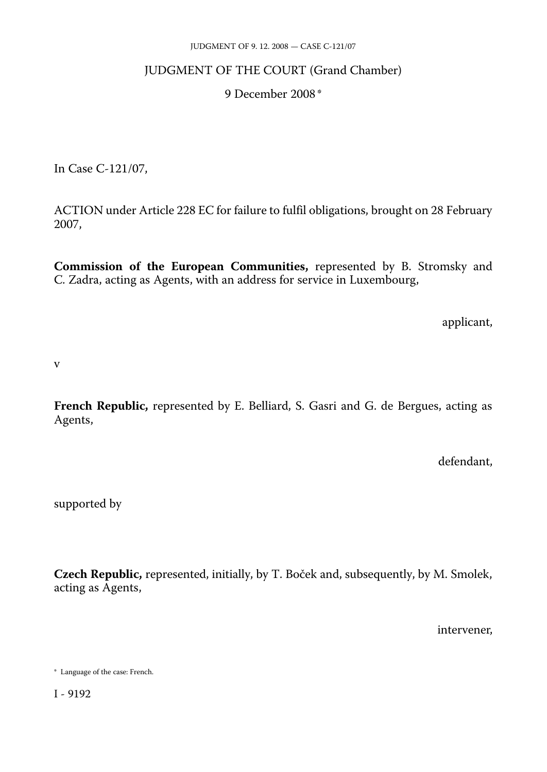#### JUDGMENT OF 9. 12. 2008 — CASE C-121/07

# JUDGMENT OF THE COURT (Grand Chamber)

### 9 December 2008 \*

In Case C-121/07,

ACTION under Article 228 EC for failure to fulfil obligations, brought on 28 February 2007,

**Commission of the European Communities,** represented by B. Stromsky and C. Zadra, acting as Agents, with an address for service in Luxembourg,

applicant,

v

**French Republic,** represented by E. Belliard, S. Gasri and G. de Bergues, acting as Agents,

defendant,

supported by

**Czech Republic,** represented, initially, by T. Boček and, subsequently, by M. Smolek, acting as Agents,

intervener,

<sup>\*</sup> Language of the case: French.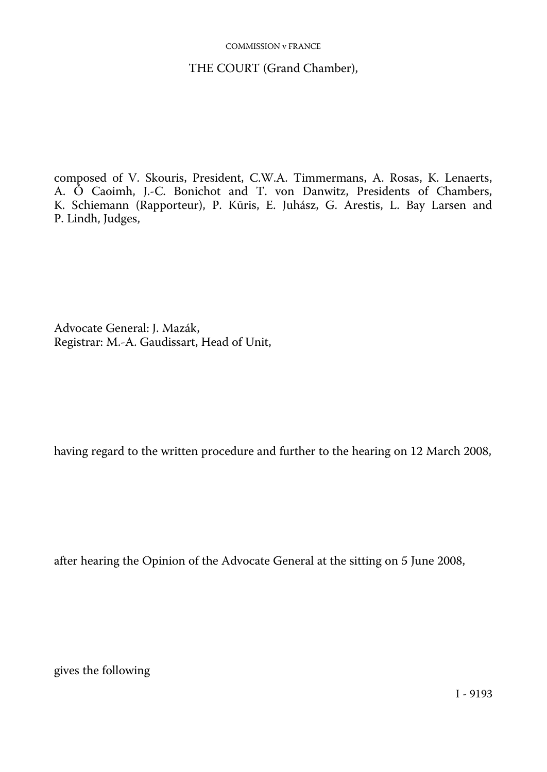#### COMMISSION v FRANCE

### THE COURT (Grand Chamber),

composed of V. Skouris, President, C.W.A. Timmermans, A. Rosas, K. Lenaerts, A. Ó Caoimh, J.-C. Bonichot and T. von Danwitz, Presidents of Chambers, K. Schiemann (Rapporteur), P. Kūris, E. Juhász, G. Arestis, L. Bay Larsen and P. Lindh, Judges,

Advocate General: J. Mazák, Registrar: M.-A. Gaudissart, Head of Unit,

having regard to the written procedure and further to the hearing on 12 March 2008,

after hearing the Opinion of the Advocate General at the sitting on 5 June 2008,

gives the following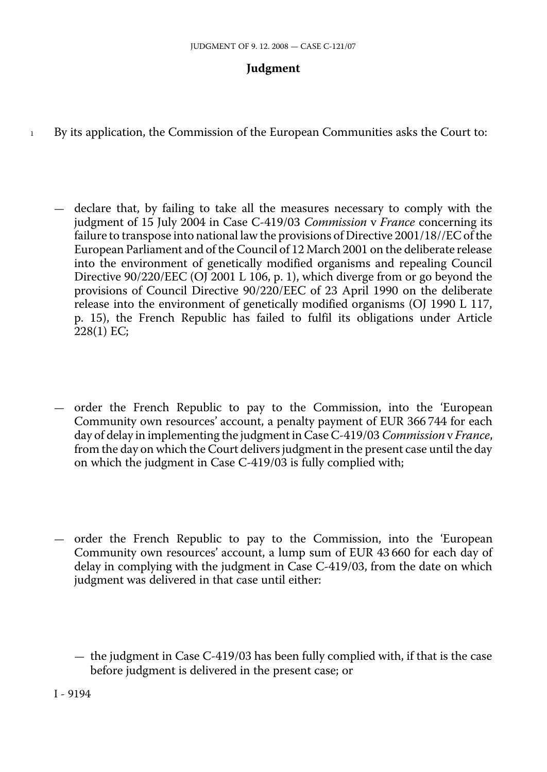# **Judgment**

- 1 By its application, the Commission of the European Communities asks the Court to:
	- declare that, by failing to take all the measures necessary to comply with the judgment of 15 July 2004 in Case C-419/03 *Commission* v *France* concerning its failure to transpose into national law the provisions of Directive 2001/18//EC of the European Parliament and of the Council of 12 March 2001 on the deliberate release into the environment of genetically modified organisms and repealing Council Directive 90/220/EEC (OJ 2001 L 106, p. 1), which diverge from or go beyond the provisions of Council Directive 90/220/EEC of 23 April 1990 on the deliberate release into the environment of genetically modified organisms (OJ 1990 L 117, p. 15), the French Republic has failed to fulfil its obligations under Article 228(1) EC;
	- order the French Republic to pay to the Commission, into the 'European Community own resources' account, a penalty payment of EUR 366 744 for each day of delay in implementing the judgment in Case C-419/03 *Commission* v *France*, from the day on which the Court delivers judgment in the present case until the day on which the judgment in Case C-419/03 is fully complied with;
	- order the French Republic to pay to the Commission, into the 'European Community own resources' account, a lump sum of EUR 43 660 for each day of delay in complying with the judgment in Case C-419/03, from the date on which judgment was delivered in that case until either:

<sup>—</sup> the judgment in Case C-419/03 has been fully complied with, if that is the case before judgment is delivered in the present case; or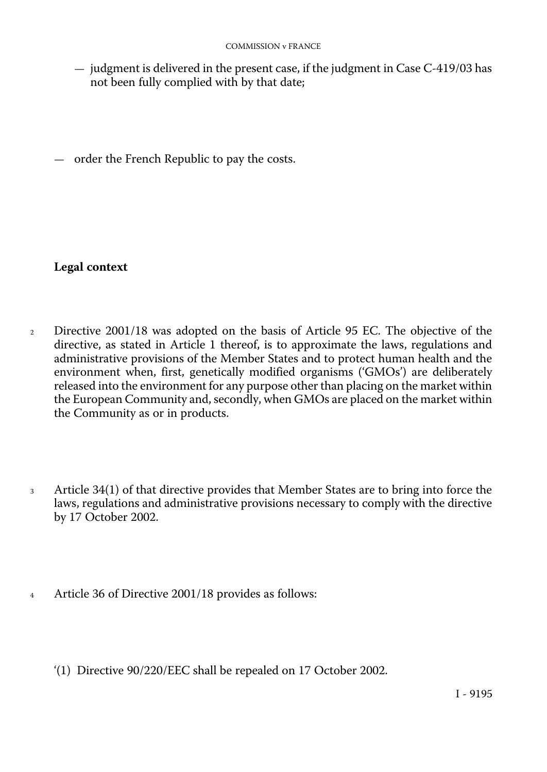— judgment is delivered in the present case, if the judgment in Case C-419/03 has not been fully complied with by that date;

— order the French Republic to pay the costs.

# **Legal context**

- <sup>2</sup> Directive 2001/18 was adopted on the basis of Article 95 EC. The objective of the directive, as stated in Article 1 thereof, is to approximate the laws, regulations and administrative provisions of the Member States and to protect human health and the environment when, first, genetically modified organisms ('GMOs') are deliberately released into the environment for any purpose other than placing on the market within the European Community and, secondly, when GMOs are placed on the market within the Community as or in products.
- <sup>3</sup> Article 34(1) of that directive provides that Member States are to bring into force the laws, regulations and administrative provisions necessary to comply with the directive by 17 October 2002.
- <sup>4</sup> Article 36 of Directive 2001/18 provides as follows:
	- '(1) Directive 90/220/EEC shall be repealed on 17 October 2002.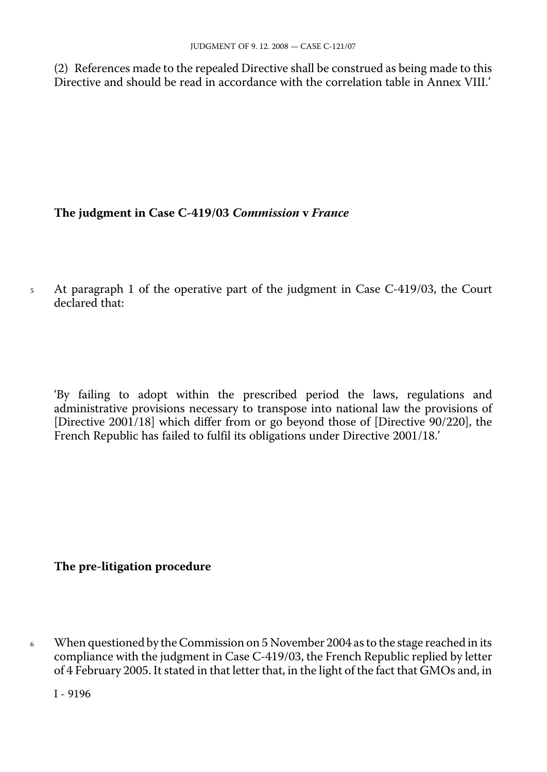(2) References made to the repealed Directive shall be construed as being made to this Directive and should be read in accordance with the correlation table in Annex VIII.'

### **The judgment in Case C-419/03** *Commission* **v** *France*

<sup>5</sup> At paragraph 1 of the operative part of the judgment in Case C-419/03, the Court declared that:

'By failing to adopt within the prescribed period the laws, regulations and administrative provisions necessary to transpose into national law the provisions of [Directive 2001/18] which differ from or go beyond those of [Directive 90/220], the French Republic has failed to fulfil its obligations under Directive 2001/18.'

# **The pre-litigation procedure**

<sup>6</sup> When questioned by the Commission on 5 November 2004 as to the stage reached in its compliance with the judgment in Case C-419/03, the French Republic replied by letter of 4 February 2005. It stated in that letter that, in the light of the fact that GMOs and, in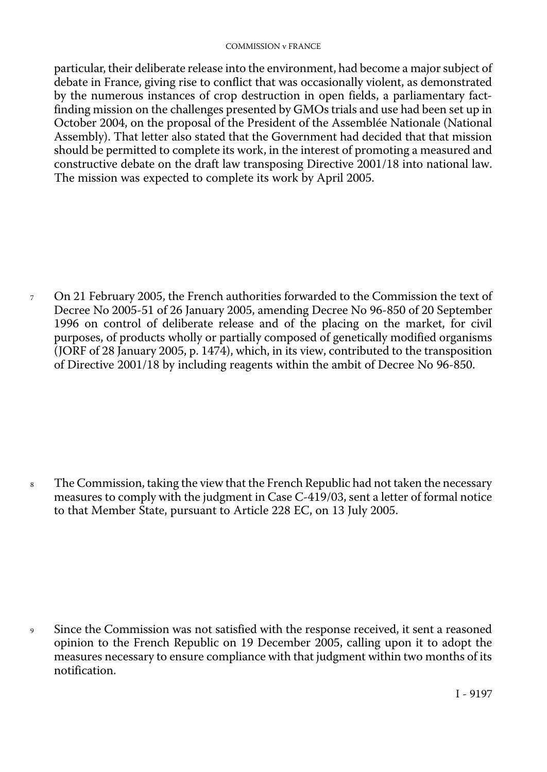#### COMMISSION v FRANCE

particular, their deliberate release into the environment, had become a major subject of debate in France, giving rise to conflict that was occasionally violent, as demonstrated by the numerous instances of crop destruction in open fields, a parliamentary factfinding mission on the challenges presented by GMOs trials and use had been set up in October 2004, on the proposal of the President of the Assemblée Nationale (National Assembly). That letter also stated that the Government had decided that that mission should be permitted to complete its work, in the interest of promoting a measured and constructive debate on the draft law transposing Directive 2001/18 into national law. The mission was expected to complete its work by April 2005.

<sup>7</sup> On 21 February 2005, the French authorities forwarded to the Commission the text of Decree No 2005-51 of 26 January 2005, amending Decree No 96-850 of 20 September 1996 on control of deliberate release and of the placing on the market, for civil purposes, of products wholly or partially composed of genetically modified organisms (JORF of 28 January 2005, p. 1474), which, in its view, contributed to the transposition of Directive 2001/18 by including reagents within the ambit of Decree No 96-850.

8 The Commission, taking the view that the French Republic had not taken the necessary measures to comply with the judgment in Case C-419/03, sent a letter of formal notice to that Member State, pursuant to Article 228 EC, on 13 July 2005.

Since the Commission was not satisfied with the response received, it sent a reasoned opinion to the French Republic on 19 December 2005, calling upon it to adopt the measures necessary to ensure compliance with that judgment within two months of its notification.  $\overline{9}$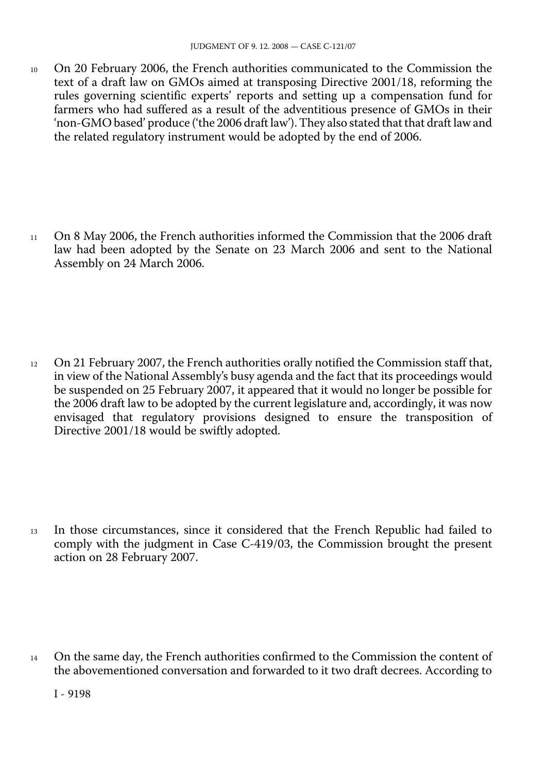10 On 20 February 2006, the French authorities communicated to the Commission the text of a draft law on GMOs aimed at transposing Directive 2001/18, reforming the rules governing scientific experts' reports and setting up a compensation fund for farmers who had suffered as a result of the adventitious presence of GMOs in their 'non-GMO based' produce ('the 2006 draft law'). They also stated that that draft law and the related regulatory instrument would be adopted by the end of 2006.

<sup>11</sup> On 8 May 2006, the French authorities informed the Commission that the 2006 draft law had been adopted by the Senate on 23 March 2006 and sent to the National Assembly on 24 March 2006.

<sup>12</sup> On 21 February 2007, the French authorities orally notified the Commission staff that, in view of the National Assembly's busy agenda and the fact that its proceedings would be suspended on 25 February 2007, it appeared that it would no longer be possible for the 2006 draft law to be adopted by the current legislature and, accordingly, it was now envisaged that regulatory provisions designed to ensure the transposition of Directive 2001/18 would be swiftly adopted.

<sup>13</sup> In those circumstances, since it considered that the French Republic had failed to comply with the judgment in Case C-419/03, the Commission brought the present action on 28 February 2007.

On the same day, the French authorities confirmed to the Commission the content of the abovementioned conversation and forwarded to it two draft decrees. According to 14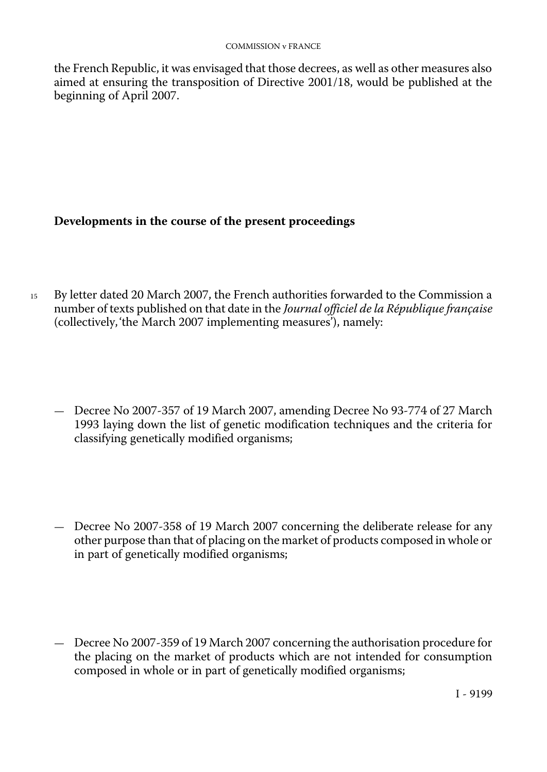the French Republic, it was envisaged that those decrees, as well as other measures also aimed at ensuring the transposition of Directive 2001/18, would be published at the beginning of April 2007.

# **Developments in the course of the present proceedings**

- 15 By letter dated 20 March 2007, the French authorities forwarded to the Commission a number of texts published on that date in the *Journal officiel de la République française*  (collectively, 'the March 2007 implementing measures'), namely:
	- Decree No 2007-357 of 19 March 2007, amending Decree No 93-774 of 27 March 1993 laying down the list of genetic modification techniques and the criteria for classifying genetically modified organisms;
	- Decree No 2007-358 of 19 March 2007 concerning the deliberate release for any other purpose than that of placing on the market of products composed in whole or in part of genetically modified organisms;
	- Decree No 2007-359 of 19 March 2007 concerning the authorisation procedure for the placing on the market of products which are not intended for consumption composed in whole or in part of genetically modified organisms;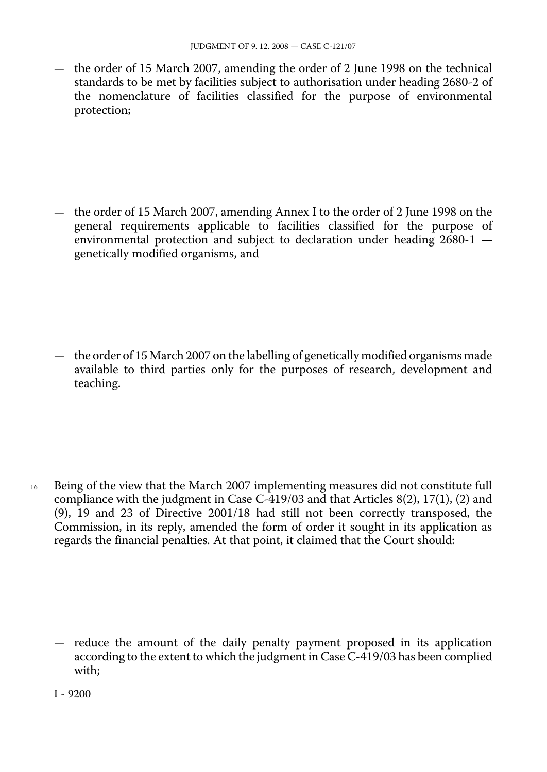— the order of 15 March 2007, amending the order of 2 June 1998 on the technical standards to be met by facilities subject to authorisation under heading 2680-2 of the nomenclature of facilities classified for the purpose of environmental protection;

— the order of 15 March 2007, amending Annex I to the order of 2 June 1998 on the general requirements applicable to facilities classified for the purpose of environmental protection and subject to declaration under heading  $2680-1$  – genetically modified organisms, and

— the order of 15 March 2007 on the labelling of genetically modified organisms made available to third parties only for the purposes of research, development and teaching.

16 Being of the view that the March 2007 implementing measures did not constitute full compliance with the judgment in Case C-419/03 and that Articles 8(2), 17(1), (2) and (9), 19 and 23 of Directive 2001/18 had still not been correctly transposed, the Commission, in its reply, amended the form of order it sought in its application as regards the financial penalties. At that point, it claimed that the Court should:

— reduce the amount of the daily penalty payment proposed in its application according to the extent to which the judgment in Case C-419/03 has been complied with;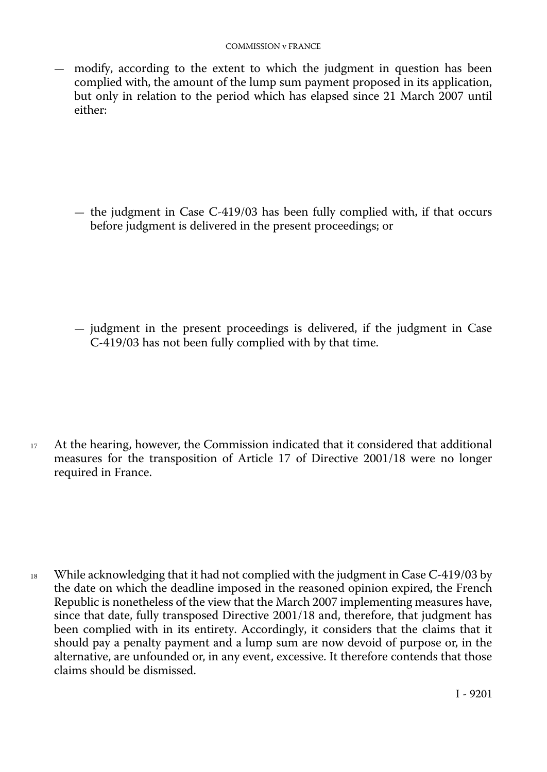— modify, according to the extent to which the judgment in question has been complied with, the amount of the lump sum payment proposed in its application, but only in relation to the period which has elapsed since 21 March 2007 until either:

— the judgment in Case  $C-419/03$  has been fully complied with, if that occurs before judgment is delivered in the present proceedings; or

— judgment in the present proceedings is delivered, if the judgment in Case C-419/03 has not been fully complied with by that time.

<sup>17</sup> At the hearing, however, the Commission indicated that it considered that additional measures for the transposition of Article 17 of Directive 2001/18 were no longer required in France.

<sup>18</sup> While acknowledging that it had not complied with the judgment in Case C-419/03 by the date on which the deadline imposed in the reasoned opinion expired, the French Republic is nonetheless of the view that the March 2007 implementing measures have, since that date, fully transposed Directive 2001/18 and, therefore, that judgment has been complied with in its entirety. Accordingly, it considers that the claims that it should pay a penalty payment and a lump sum are now devoid of purpose or, in the alternative, are unfounded or, in any event, excessive. It therefore contends that those claims should be dismissed.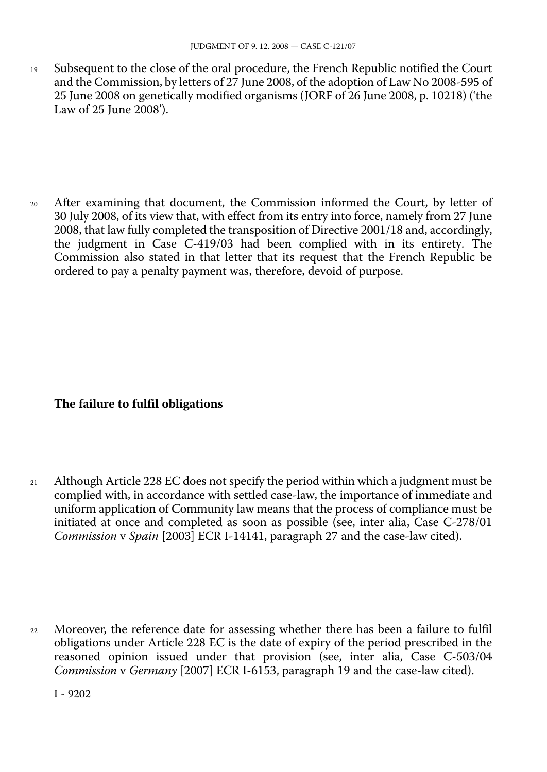19 Subsequent to the close of the oral procedure, the French Republic notified the Court and the Commission, by letters of 27 June 2008, of the adoption of Law No 2008-595 of 25 June 2008 on genetically modified organisms (JORF of 26 June 2008, p. 10218) ('the Law of 25 June 2008').

<sup>20</sup> After examining that document, the Commission informed the Court, by letter of 30 July 2008, of its view that, with effect from its entry into force, namely from 27 June 2008, that law fully completed the transposition of Directive 2001/18 and, accordingly, the judgment in Case C-419/03 had been complied with in its entirety. The Commission also stated in that letter that its request that the French Republic be ordered to pay a penalty payment was, therefore, devoid of purpose.

### **The failure to fulfil obligations**

<sup>21</sup> Although Article 228 EC does not specify the period within which a judgment must be complied with, in accordance with settled case-law, the importance of immediate and uniform application of Community law means that the process of compliance must be initiated at once and completed as soon as possible (see, inter alia, Case C-278/01 *Commission* v *Spain* [2003] ECR I-14141, paragraph 27 and the case-law cited).

Moreover, the reference date for assessing whether there has been a failure to fulfil obligations under Article 228 EC is the date of expiry of the period prescribed in the reasoned opinion issued under that provision (see, inter alia, Case C-503/04 *Commission* v *Germany* [2007] ECR I-6153, paragraph 19 and the case-law cited).  $22$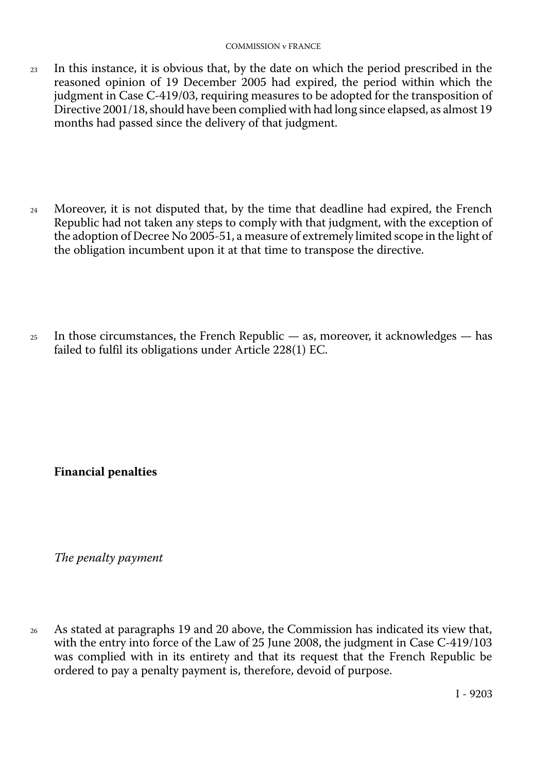- 23 In this instance, it is obvious that, by the date on which the period prescribed in the reasoned opinion of 19 December 2005 had expired, the period within which the judgment in Case C-419/03, requiring measures to be adopted for the transposition of Directive 2001/18, should have been complied with had long since elapsed, as almost 19 months had passed since the delivery of that judgment.
- 24 Moreover, it is not disputed that, by the time that deadline had expired, the French Republic had not taken any steps to comply with that judgment, with the exception of the adoption of Decree No 2005-51, a measure of extremely limited scope in the light of the obligation incumbent upon it at that time to transpose the directive.
- $25$  In those circumstances, the French Republic as, moreover, it acknowledges has failed to fulfil its obligations under Article 228(1) EC.

**Financial penalties** 

*The penalty payment* 

<sup>26</sup> As stated at paragraphs 19 and 20 above, the Commission has indicated its view that, with the entry into force of the Law of 25 June 2008, the judgment in Case C-419/103 was complied with in its entirety and that its request that the French Republic be ordered to pay a penalty payment is, therefore, devoid of purpose.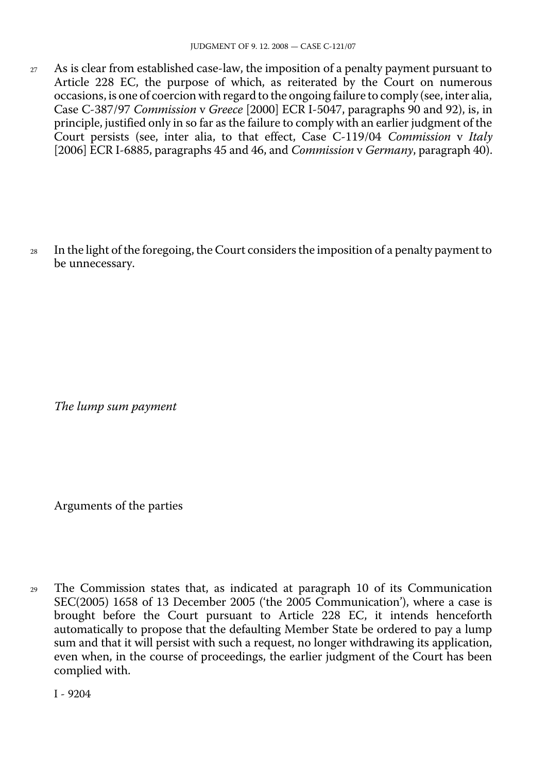27 As is clear from established case-law, the imposition of a penalty payment pursuant to Article 228 EC, the purpose of which, as reiterated by the Court on numerous occasions, is one of coercion with regard to the ongoing failure to comply (see, inter alia, Case C-387/97 *Commission* v *Greece* [2000] ECR I-5047, paragraphs 90 and 92), is, in principle, justified only in so far as the failure to comply with an earlier judgment of the Court persists (see, inter alia, to that effect, Case C-119/04 *Commission* v *Italy*  [2006] ECR I-6885, paragraphs 45 and 46, and *Commission* v *Germany*, paragraph 40).

<sup>28</sup> In the light of the foregoing, the Court considers the imposition of a penalty payment to be unnecessary.

*The lump sum payment* 

Arguments of the parties

<sup>29</sup> The Commission states that, as indicated at paragraph 10 of its Communication SEC(2005) 1658 of 13 December 2005 ('the 2005 Communication'), where a case is brought before the Court pursuant to Article 228 EC, it intends henceforth automatically to propose that the defaulting Member State be ordered to pay a lump sum and that it will persist with such a request, no longer withdrawing its application, even when, in the course of proceedings, the earlier judgment of the Court has been complied with.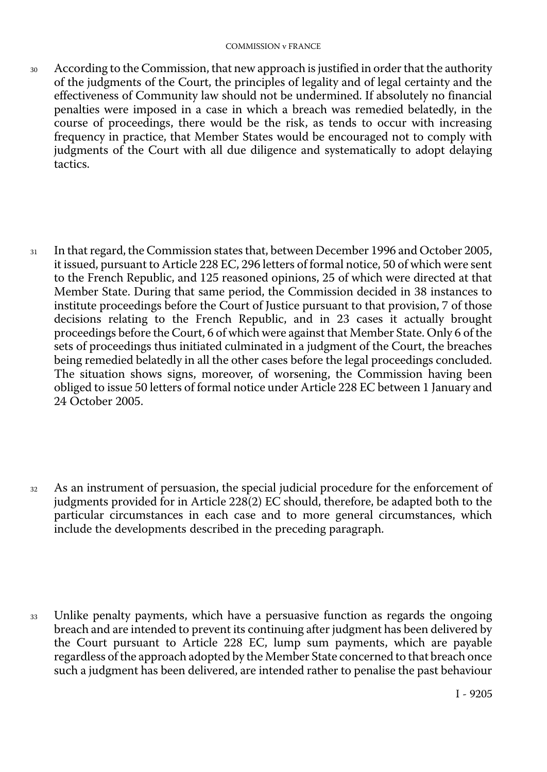- <sup>30</sup> According to the Commission, that new approach is justified in order that the authority of the judgments of the Court, the principles of legality and of legal certainty and the effectiveness of Community law should not be undermined. If absolutely no financial penalties were imposed in a case in which a breach was remedied belatedly, in the course of proceedings, there would be the risk, as tends to occur with increasing frequency in practice, that Member States would be encouraged not to comply with judgments of the Court with all due diligence and systematically to adopt delaying tactics.
- <sup>31</sup> In that regard, the Commission states that, between December 1996 and October 2005, it issued, pursuant to Article 228 EC, 296 letters of formal notice, 50 of which were sent to the French Republic, and 125 reasoned opinions, 25 of which were directed at that Member State. During that same period, the Commission decided in 38 instances to institute proceedings before the Court of Justice pursuant to that provision, 7 of those decisions relating to the French Republic, and in 23 cases it actually brought proceedings before the Court, 6 of which were against that Member State. Only 6 of the sets of proceedings thus initiated culminated in a judgment of the Court, the breaches being remedied belatedly in all the other cases before the legal proceedings concluded. The situation shows signs, moreover, of worsening, the Commission having been obliged to issue 50 letters of formal notice under Article 228 EC between 1 January and 24 October 2005.
- <sup>32</sup> As an instrument of persuasion, the special judicial procedure for the enforcement of judgments provided for in Article 228(2) EC should, therefore, be adapted both to the particular circumstances in each case and to more general circumstances, which include the developments described in the preceding paragraph.
- <sup>33</sup> Unlike penalty payments, which have a persuasive function as regards the ongoing breach and are intended to prevent its continuing after judgment has been delivered by the Court pursuant to Article 228 EC, lump sum payments, which are payable regardless of the approach adopted by the Member State concerned to that breach once such a judgment has been delivered, are intended rather to penalise the past behaviour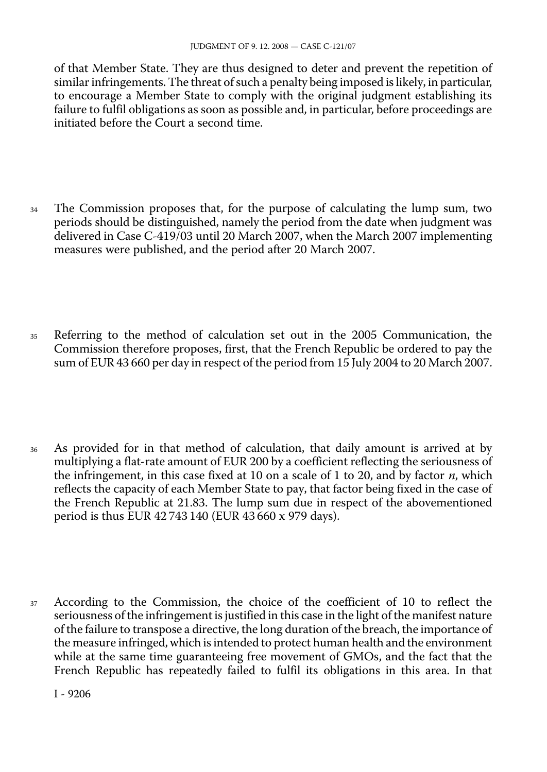of that Member State. They are thus designed to deter and prevent the repetition of similar infringements. The threat of such a penalty being imposed is likely, in particular, to encourage a Member State to comply with the original judgment establishing its failure to fulfil obligations as soon as possible and, in particular, before proceedings are initiated before the Court a second time.

- <sup>34</sup> The Commission proposes that, for the purpose of calculating the lump sum, two periods should be distinguished, namely the period from the date when judgment was delivered in Case C-419/03 until 20 March 2007, when the March 2007 implementing measures were published, and the period after 20 March 2007.
- <sup>35</sup> Referring to the method of calculation set out in the 2005 Communication, the Commission therefore proposes, first, that the French Republic be ordered to pay the sum of EUR 43 660 per day in respect of the period from 15 July 2004 to 20 March 2007.
- <sup>36</sup> As provided for in that method of calculation, that daily amount is arrived at by multiplying a flat-rate amount of EUR 200 by a coefficient reflecting the seriousness of the infringement, in this case fixed at 10 on a scale of 1 to 20, and by factor *n*, which reflects the capacity of each Member State to pay, that factor being fixed in the case of the French Republic at 21.83. The lump sum due in respect of the abovementioned period is thus EUR 42 743 140 (EUR 43 660 x 979 days).
- <sup>37</sup> According to the Commission, the choice of the coefficient of 10 to reflect the seriousness of the infringement is justified in this case in the light of the manifest nature of the failure to transpose a directive, the long duration of the breach, the importance of the measure infringed, which is intended to protect human health and the environment while at the same time guaranteeing free movement of GMOs, and the fact that the French Republic has repeatedly failed to fulfil its obligations in this area. In that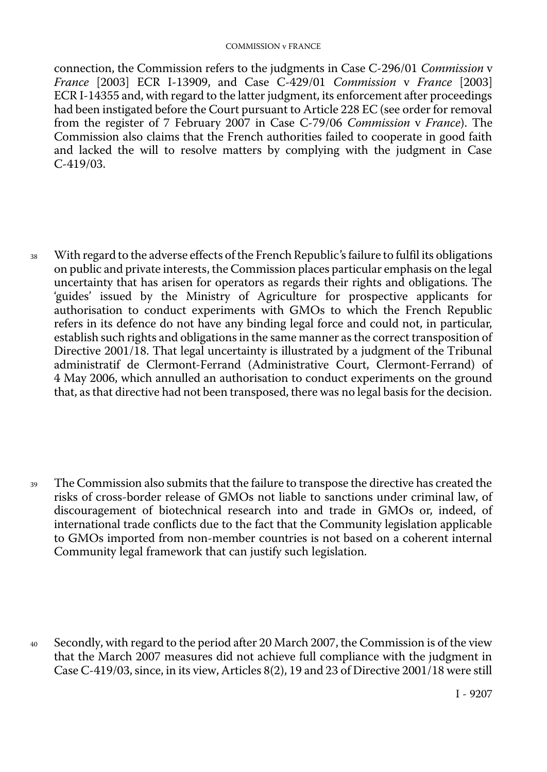#### COMMISSION v FRANCE

connection, the Commission refers to the judgments in Case C-296/01 *Commission* v *France* [2003] ECR I-13909, and Case C-429/01 *Commission* v *France* [2003] ECR I-14355 and, with regard to the latter judgment, its enforcement after proceedings had been instigated before the Court pursuant to Article 228 EC (see order for removal from the register of 7 February 2007 in Case C-79/06 *Commission* v *France*). The Commission also claims that the French authorities failed to cooperate in good faith and lacked the will to resolve matters by complying with the judgment in Case C-419/03.

<sup>38</sup> With regard to the adverse effects of the French Republic's failure to fulfil its obligations on public and private interests, the Commission places particular emphasis on the legal uncertainty that has arisen for operators as regards their rights and obligations. The 'guides' issued by the Ministry of Agriculture for prospective applicants for authorisation to conduct experiments with GMOs to which the French Republic refers in its defence do not have any binding legal force and could not, in particular, establish such rights and obligations in the same manner as the correct transposition of Directive 2001/18. That legal uncertainty is illustrated by a judgment of the Tribunal administratif de Clermont-Ferrand (Administrative Court, Clermont-Ferrand) of 4 May 2006, which annulled an authorisation to conduct experiments on the ground that, as that directive had not been transposed, there was no legal basis for the decision.

<sup>39</sup> The Commission also submits that the failure to transpose the directive has created the risks of cross-border release of GMOs not liable to sanctions under criminal law, of discouragement of biotechnical research into and trade in GMOs or, indeed, of international trade conflicts due to the fact that the Community legislation applicable to GMOs imported from non-member countries is not based on a coherent internal Community legal framework that can justify such legislation.

<sup>40</sup> Secondly, with regard to the period after 20 March 2007, the Commission is of the view that the March 2007 measures did not achieve full compliance with the judgment in Case C-419/03, since, in its view, Articles 8(2), 19 and 23 of Directive 2001/18 were still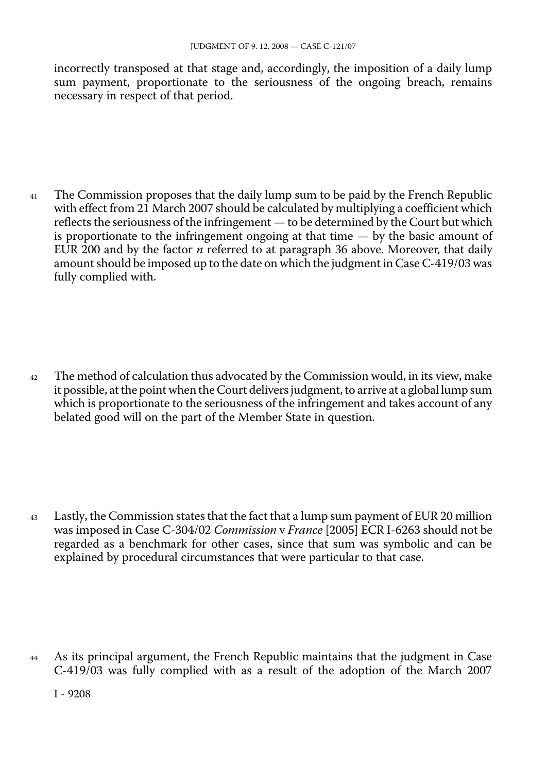incorrectly transposed at that stage and, accordingly, the imposition of a daily lump sum payment, proportionate to the seriousness of the ongoing breach, remains necessary in respect of that period.

<sup>41</sup> The Commission proposes that the daily lump sum to be paid by the French Republic with effect from 21 March 2007 should be calculated by multiplying a coefficient which reflects the seriousness of the infringement — to be determined by the Court but which is proportionate to the infringement ongoing at that time  $-$  by the basic amount of EUR 200 and by the factor *n* referred to at paragraph 36 above. Moreover, that daily amount should be imposed up to the date on which the judgment in Case C-419/03 was fully complied with.

<sup>42</sup> The method of calculation thus advocated by the Commission would, in its view, make it possible, at the point when the Court delivers judgment, to arrive at a global lump sum which is proportionate to the seriousness of the infringement and takes account of any belated good will on the part of the Member State in question.

<sup>43</sup> Lastly, the Commission states that the fact that a lump sum payment of EUR 20 million was imposed in Case C-304/02 *Commission* v *France* [2005] ECR I-6263 should not be regarded as a benchmark for other cases, since that sum was symbolic and can be explained by procedural circumstances that were particular to that case.

<sup>44</sup> As its principal argument, the French Republic maintains that the judgment in Case C-419/03 was fully complied with as a result of the adoption of the March 2007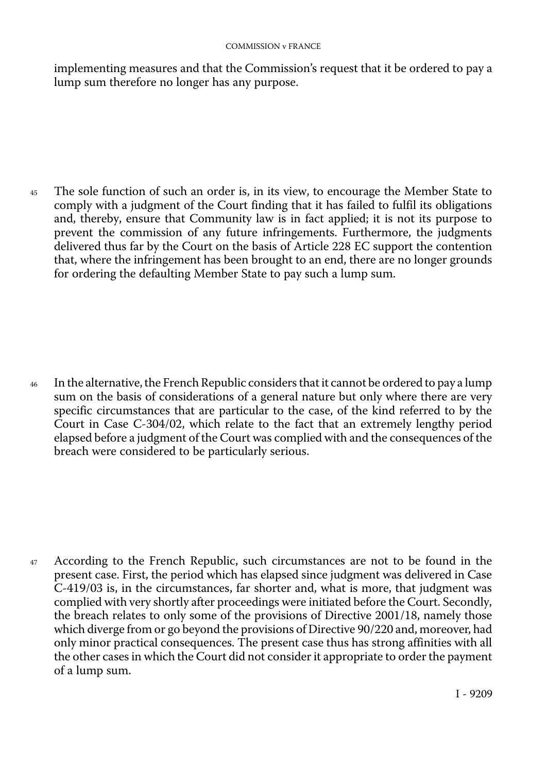#### COMMISSION v FRANCE

implementing measures and that the Commission's request that it be ordered to pay a lump sum therefore no longer has any purpose.

<sup>45</sup> The sole function of such an order is, in its view, to encourage the Member State to comply with a judgment of the Court finding that it has failed to fulfil its obligations and, thereby, ensure that Community law is in fact applied; it is not its purpose to prevent the commission of any future infringements. Furthermore, the judgments delivered thus far by the Court on the basis of Article 228 EC support the contention that, where the infringement has been brought to an end, there are no longer grounds for ordering the defaulting Member State to pay such a lump sum.

<sup>46</sup> In the alternative, the French Republic considers that it cannot be ordered to pay a lump sum on the basis of considerations of a general nature but only where there are very specific circumstances that are particular to the case, of the kind referred to by the Court in Case C-304/02, which relate to the fact that an extremely lengthy period elapsed before a judgment of the Court was complied with and the consequences of the breach were considered to be particularly serious.

<sup>47</sup> According to the French Republic, such circumstances are not to be found in the present case. First, the period which has elapsed since judgment was delivered in Case C-419/03 is, in the circumstances, far shorter and, what is more, that judgment was complied with very shortly after proceedings were initiated before the Court. Secondly, the breach relates to only some of the provisions of Directive 2001/18, namely those which diverge from or go beyond the provisions of Directive 90/220 and, moreover, had only minor practical consequences. The present case thus has strong affinities with all the other cases in which the Court did not consider it appropriate to order the payment of a lump sum.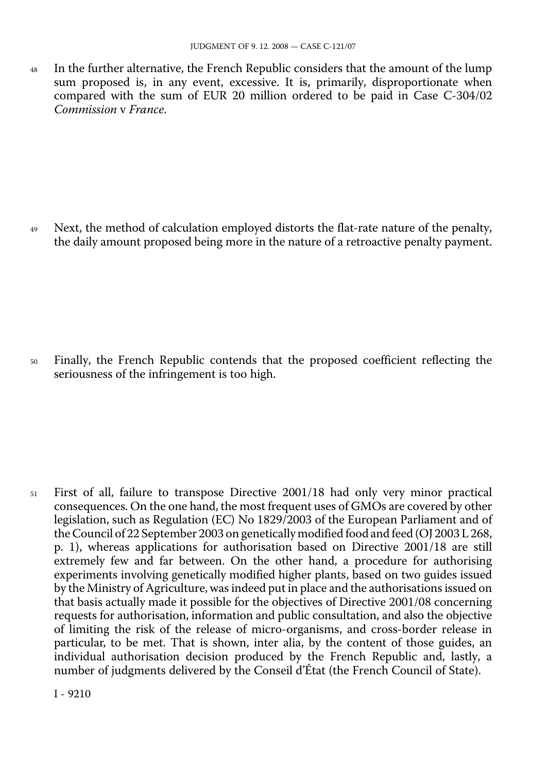48 In the further alternative, the French Republic considers that the amount of the lump sum proposed is, in any event, excessive. It is, primarily, disproportionate when compared with the sum of EUR 20 million ordered to be paid in Case C-304/02 *Commission* v *France*.

<sup>49</sup> Next, the method of calculation employed distorts the flat-rate nature of the penalty, the daily amount proposed being more in the nature of a retroactive penalty payment.

<sup>50</sup> Finally, the French Republic contends that the proposed coefficient reflecting the seriousness of the infringement is too high.

<sup>51</sup> First of all, failure to transpose Directive 2001/18 had only very minor practical consequences. On the one hand, the most frequent uses of GMOs are covered by other legislation, such as Regulation (EC) No 1829/2003 of the European Parliament and of the Council of 22 September 2003 on genetically modified food and feed (OJ 2003 L 268, p. 1), whereas applications for authorisation based on Directive 2001/18 are still extremely few and far between. On the other hand, a procedure for authorising experiments involving genetically modified higher plants, based on two guides issued by the Ministry of Agriculture, was indeed put in place and the authorisations issued on that basis actually made it possible for the objectives of Directive 2001/08 concerning requests for authorisation, information and public consultation, and also the objective of limiting the risk of the release of micro-organisms, and cross-border release in particular, to be met. That is shown, inter alia, by the content of those guides, an individual authorisation decision produced by the French Republic and, lastly, a number of judgments delivered by the Conseil d'État (the French Council of State).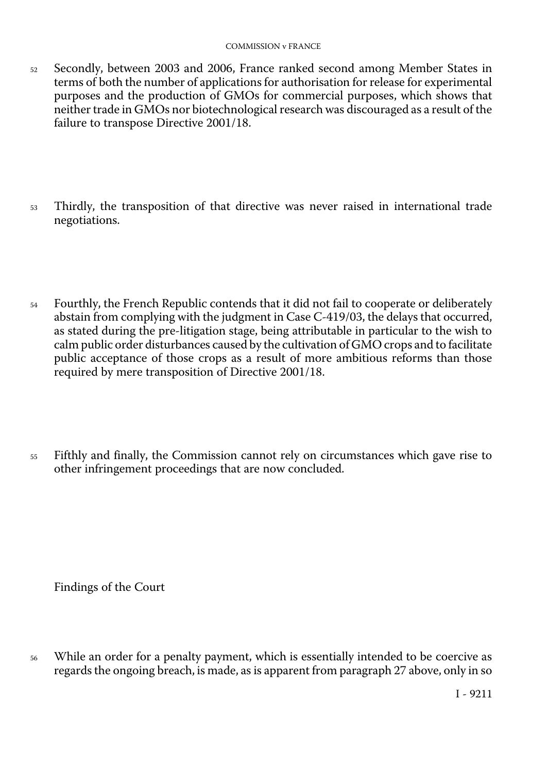- 52 Secondly, between 2003 and 2006, France ranked second among Member States in terms of both the number of applications for authorisation for release for experimental purposes and the production of GMOs for commercial purposes, which shows that neither trade in GMOs nor biotechnological research was discouraged as a result of the failure to transpose Directive 2001/18.
- <sup>53</sup> Thirdly, the transposition of that directive was never raised in international trade negotiations.
- <sup>54</sup> Fourthly, the French Republic contends that it did not fail to cooperate or deliberately abstain from complying with the judgment in Case C-419/03, the delays that occurred, as stated during the pre-litigation stage, being attributable in particular to the wish to calm public order disturbances caused by the cultivation of GMO crops and to facilitate public acceptance of those crops as a result of more ambitious reforms than those required by mere transposition of Directive 2001/18.
- <sup>55</sup> Fifthly and finally, the Commission cannot rely on circumstances which gave rise to other infringement proceedings that are now concluded.

Findings of the Court

While an order for a penalty payment, which is essentially intended to be coercive as regards the ongoing breach, is made, as is apparent from paragraph 27 above, only in so 56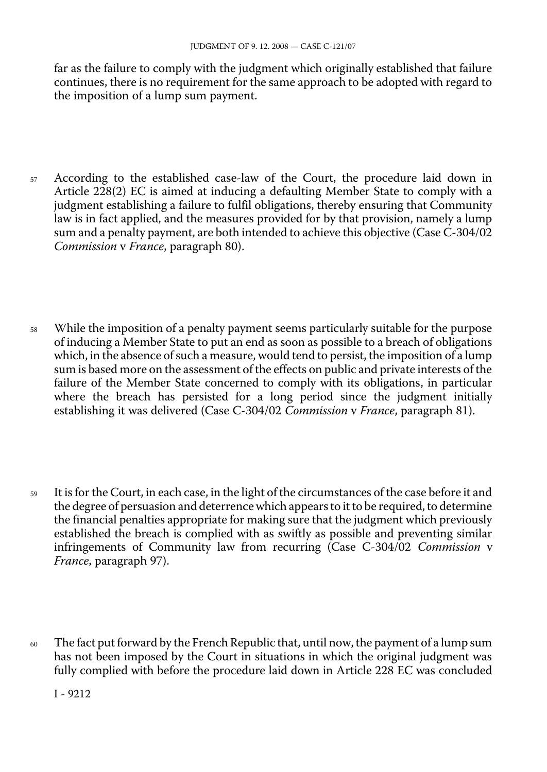far as the failure to comply with the judgment which originally established that failure continues, there is no requirement for the same approach to be adopted with regard to the imposition of a lump sum payment.

- <sup>57</sup> According to the established case-law of the Court, the procedure laid down in Article 228(2) EC is aimed at inducing a defaulting Member State to comply with a judgment establishing a failure to fulfil obligations, thereby ensuring that Community law is in fact applied, and the measures provided for by that provision, namely a lump sum and a penalty payment, are both intended to achieve this objective (Case C-304/02 *Commission* v *France*, paragraph 80).
- <sup>58</sup> While the imposition of a penalty payment seems particularly suitable for the purpose of inducing a Member State to put an end as soon as possible to a breach of obligations which, in the absence of such a measure, would tend to persist, the imposition of a lump sum is based more on the assessment of the effects on public and private interests of the failure of the Member State concerned to comply with its obligations, in particular where the breach has persisted for a long period since the judgment initially establishing it was delivered (Case C-304/02 *Commission* v *France*, paragraph 81).
- <sup>59</sup> It is for the Court, in each case, in the light of the circumstances of the case before it and the degree of persuasion and deterrence which appears to it to be required, to determine the financial penalties appropriate for making sure that the judgment which previously established the breach is complied with as swiftly as possible and preventing similar infringements of Community law from recurring (Case C-304/02 *Commission* v *France*, paragraph 97).
- <sup>60</sup> The fact put forward by the French Republic that, until now, the payment of a lump sum has not been imposed by the Court in situations in which the original judgment was fully complied with before the procedure laid down in Article 228 EC was concluded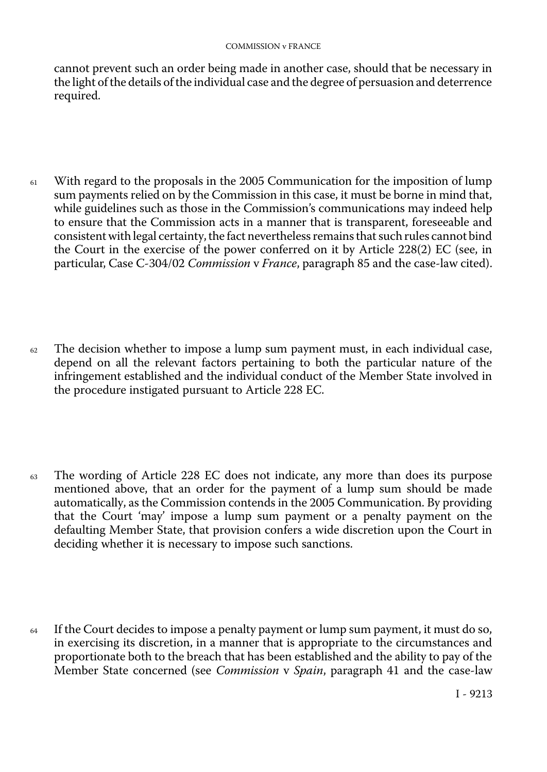cannot prevent such an order being made in another case, should that be necessary in the light of the details of the individual case and the degree of persuasion and deterrence required.

- <sup>61</sup> With regard to the proposals in the 2005 Communication for the imposition of lump sum payments relied on by the Commission in this case, it must be borne in mind that, while guidelines such as those in the Commission's communications may indeed help to ensure that the Commission acts in a manner that is transparent, foreseeable and consistent with legal certainty, the fact nevertheless remains that such rules cannot bind the Court in the exercise of the power conferred on it by Article 228(2) EC (see, in particular, Case C-304/02 *Commission* v *France*, paragraph 85 and the case-law cited).
- $62$  The decision whether to impose a lump sum payment must, in each individual case, depend on all the relevant factors pertaining to both the particular nature of the infringement established and the individual conduct of the Member State involved in the procedure instigated pursuant to Article 228 EC.
- <sup>63</sup> The wording of Article 228 EC does not indicate, any more than does its purpose mentioned above, that an order for the payment of a lump sum should be made automatically, as the Commission contends in the 2005 Communication. By providing that the Court 'may' impose a lump sum payment or a penalty payment on the defaulting Member State, that provision confers a wide discretion upon the Court in deciding whether it is necessary to impose such sanctions.
- $64$  If the Court decides to impose a penalty payment or lump sum payment, it must do so, in exercising its discretion, in a manner that is appropriate to the circumstances and proportionate both to the breach that has been established and the ability to pay of the Member State concerned (see *Commission* v *Spain*, paragraph 41 and the case-law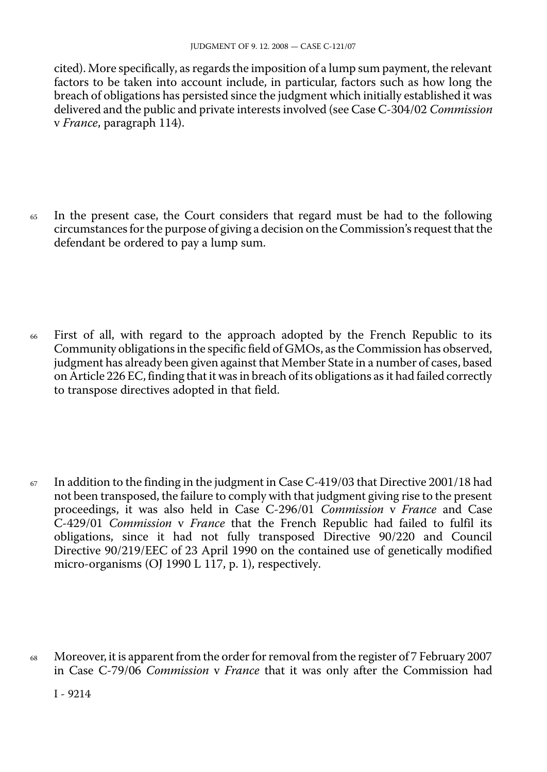cited). More specifically, as regards the imposition of a lump sum payment, the relevant factors to be taken into account include, in particular, factors such as how long the breach of obligations has persisted since the judgment which initially established it was delivered and the public and private interests involved (see Case C-304/02 *Commission*  v *France*, paragraph 114).

- <sup>65</sup> In the present case, the Court considers that regard must be had to the following circumstances for the purpose of giving a decision on the Commission's request that the defendant be ordered to pay a lump sum.
- <sup>66</sup> First of all, with regard to the approach adopted by the French Republic to its Community obligations in the specific field of GMOs, as the Commission has observed, judgment has already been given against that Member State in a number of cases, based on Article 226 EC, finding that it was in breach of its obligations as it had failed correctly to transpose directives adopted in that field.

 $67$  In addition to the finding in the judgment in Case C-419/03 that Directive 2001/18 had not been transposed, the failure to comply with that judgment giving rise to the present proceedings, it was also held in Case C-296/01 *Commission* v *France* and Case C-429/01 *Commission* v *France* that the French Republic had failed to fulfil its obligations, since it had not fully transposed Directive 90/220 and Council Directive 90/219/EEC of 23 April 1990 on the contained use of genetically modified micro-organisms (OJ 1990 L 117, p. 1), respectively.

<sup>68</sup> Moreover, it is apparent from the order for removal from the register of 7 February 2007 in Case C-79/06 *Commission* v *France* that it was only after the Commission had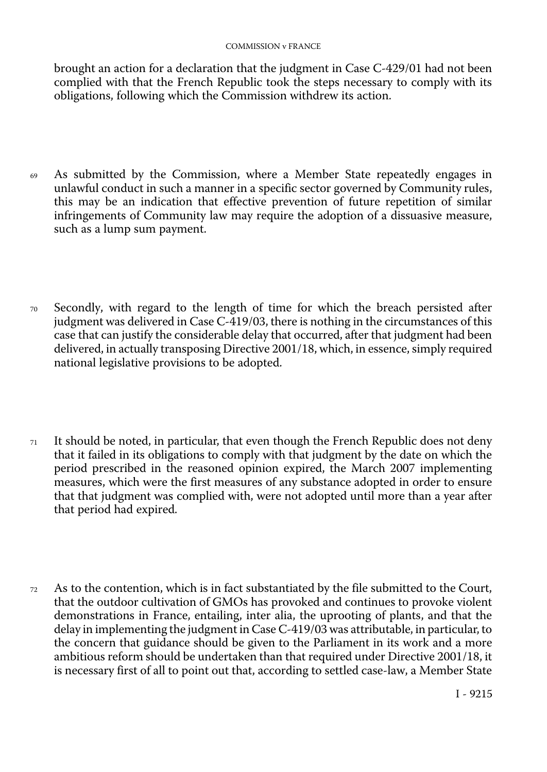brought an action for a declaration that the judgment in Case C-429/01 had not been complied with that the French Republic took the steps necessary to comply with its obligations, following which the Commission withdrew its action.

- <sup>69</sup> As submitted by the Commission, where a Member State repeatedly engages in unlawful conduct in such a manner in a specific sector governed by Community rules, this may be an indication that effective prevention of future repetition of similar infringements of Community law may require the adoption of a dissuasive measure, such as a lump sum payment.
- <sup>70</sup> Secondly, with regard to the length of time for which the breach persisted after judgment was delivered in Case C-419/03, there is nothing in the circumstances of this case that can justify the considerable delay that occurred, after that judgment had been delivered, in actually transposing Directive 2001/18, which, in essence, simply required national legislative provisions to be adopted.
- $71$  It should be noted, in particular, that even though the French Republic does not deny that it failed in its obligations to comply with that judgment by the date on which the period prescribed in the reasoned opinion expired, the March 2007 implementing measures, which were the first measures of any substance adopted in order to ensure that that judgment was complied with, were not adopted until more than a year after that period had expired.
- <sup>72</sup> As to the contention, which is in fact substantiated by the file submitted to the Court, that the outdoor cultivation of GMOs has provoked and continues to provoke violent demonstrations in France, entailing, inter alia, the uprooting of plants, and that the delay in implementing the judgment in Case C-419/03 was attributable, in particular, to the concern that guidance should be given to the Parliament in its work and a more ambitious reform should be undertaken than that required under Directive 2001/18, it is necessary first of all to point out that, according to settled case-law, a Member State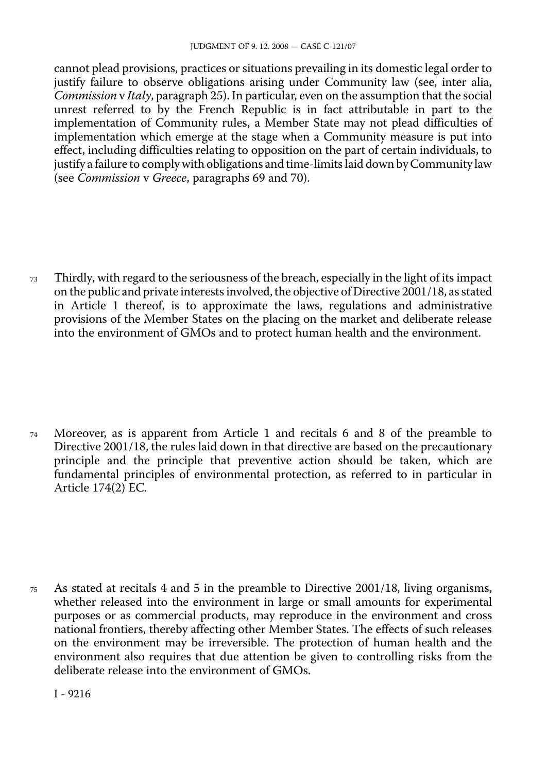cannot plead provisions, practices or situations prevailing in its domestic legal order to justify failure to observe obligations arising under Community law (see, inter alia, *Commission* v *Italy*, paragraph 25). In particular, even on the assumption that the social unrest referred to by the French Republic is in fact attributable in part to the implementation of Community rules, a Member State may not plead difficulties of implementation which emerge at the stage when a Community measure is put into effect, including difficulties relating to opposition on the part of certain individuals, to justify a failure to comply with obligations and time-limits laid down by Community law (see *Commission* v *Greece*, paragraphs 69 and 70).

<sup>73</sup> Thirdly, with regard to the seriousness of the breach, especially in the light of its impact on the public and private interests involved, the objective of Directive 2001/18, as stated in Article 1 thereof, is to approximate the laws, regulations and administrative provisions of the Member States on the placing on the market and deliberate release into the environment of GMOs and to protect human health and the environment.

<sup>74</sup> Moreover, as is apparent from Article 1 and recitals 6 and 8 of the preamble to Directive 2001/18, the rules laid down in that directive are based on the precautionary principle and the principle that preventive action should be taken, which are fundamental principles of environmental protection, as referred to in particular in Article 174(2) EC.

<sup>75</sup> As stated at recitals 4 and 5 in the preamble to Directive 2001/18, living organisms, whether released into the environment in large or small amounts for experimental purposes or as commercial products, may reproduce in the environment and cross national frontiers, thereby affecting other Member States. The effects of such releases on the environment may be irreversible. The protection of human health and the environment also requires that due attention be given to controlling risks from the deliberate release into the environment of GMOs.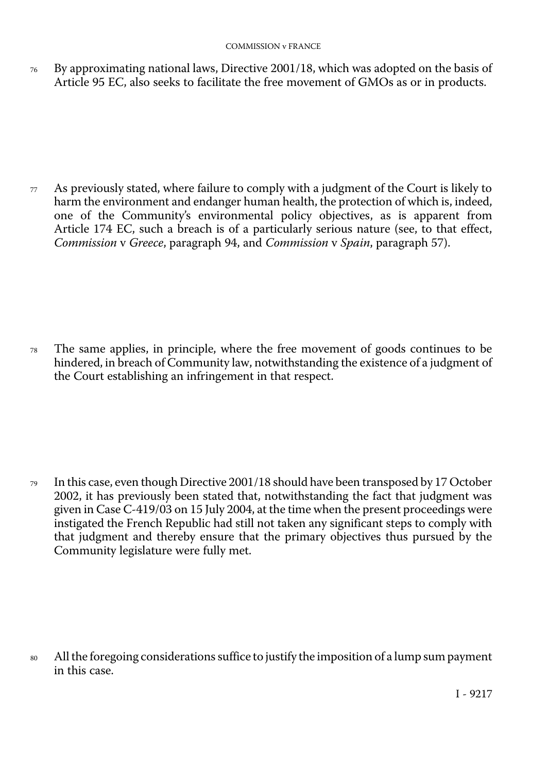76 By approximating national laws, Directive 2001/18, which was adopted on the basis of Article 95 EC, also seeks to facilitate the free movement of GMOs as or in products.

 $77$  As previously stated, where failure to comply with a judgment of the Court is likely to harm the environment and endanger human health, the protection of which is, indeed, one of the Community's environmental policy objectives, as is apparent from Article 174 EC, such a breach is of a particularly serious nature (see, to that effect, *Commission* v *Greece*, paragraph 94, and *Commission* v *Spain*, paragraph 57).

<sup>78</sup> The same applies, in principle, where the free movement of goods continues to be hindered, in breach of Community law, notwithstanding the existence of a judgment of the Court establishing an infringement in that respect.

<sup>79</sup> In this case, even though Directive 2001/18 should have been transposed by 17 October 2002, it has previously been stated that, notwithstanding the fact that judgment was given in Case C-419/03 on 15 July 2004, at the time when the present proceedings were instigated the French Republic had still not taken any significant steps to comply with that judgment and thereby ensure that the primary objectives thus pursued by the Community legislature were fully met.

All the foregoing considerations suffice to justify the imposition of a lump sum payment in this case. 80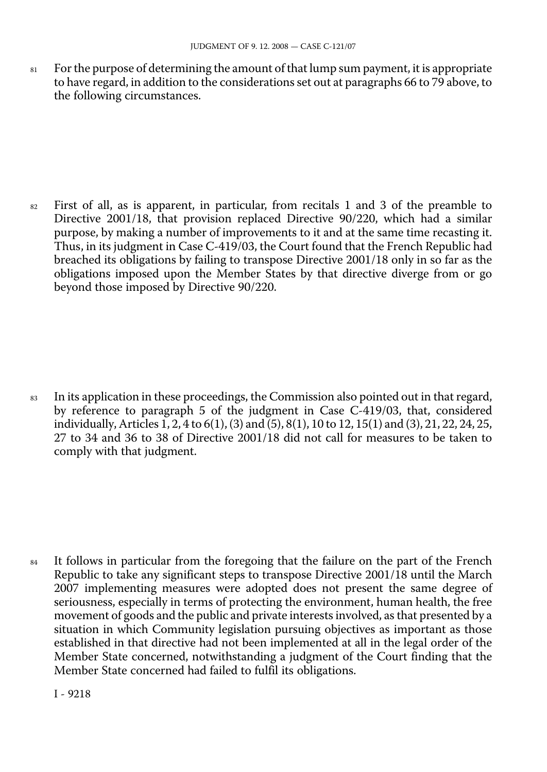81 For the purpose of determining the amount of that lump sum payment, it is appropriate to have regard, in addition to the considerations set out at paragraphs 66 to 79 above, to the following circumstances.

<sup>82</sup> First of all, as is apparent, in particular, from recitals 1 and 3 of the preamble to Directive 2001/18, that provision replaced Directive 90/220, which had a similar purpose, by making a number of improvements to it and at the same time recasting it. Thus, in its judgment in Case C-419/03, the Court found that the French Republic had breached its obligations by failing to transpose Directive 2001/18 only in so far as the obligations imposed upon the Member States by that directive diverge from or go beyond those imposed by Directive 90/220.

<sup>83</sup> In its application in these proceedings, the Commission also pointed out in that regard, by reference to paragraph 5 of the judgment in Case C-419/03, that, considered individually, Articles 1, 2, 4 to 6(1), (3) and (5), 8(1), 10 to 12, 15(1) and (3), 21, 22, 24, 25, 27 to 34 and 36 to 38 of Directive 2001/18 did not call for measures to be taken to comply with that judgment.

<sup>84</sup> It follows in particular from the foregoing that the failure on the part of the French Republic to take any significant steps to transpose Directive 2001/18 until the March 2007 implementing measures were adopted does not present the same degree of seriousness, especially in terms of protecting the environment, human health, the free movement of goods and the public and private interests involved, as that presented by a situation in which Community legislation pursuing objectives as important as those established in that directive had not been implemented at all in the legal order of the Member State concerned, notwithstanding a judgment of the Court finding that the Member State concerned had failed to fulfil its obligations.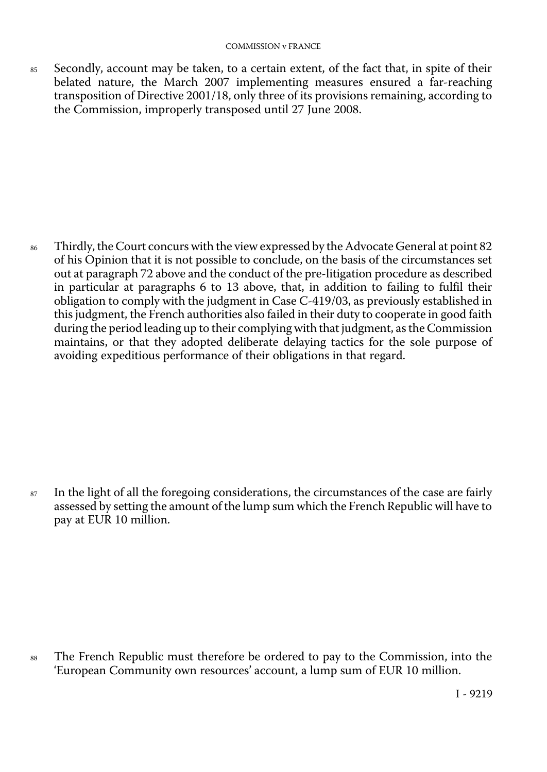85 Secondly, account may be taken, to a certain extent, of the fact that, in spite of their belated nature, the March 2007 implementing measures ensured a far-reaching transposition of Directive 2001/18, only three of its provisions remaining, according to the Commission, improperly transposed until 27 June 2008.

<sup>86</sup> Thirdly, the Court concurs with the view expressed by the Advocate General at point 82 of his Opinion that it is not possible to conclude, on the basis of the circumstances set out at paragraph 72 above and the conduct of the pre-litigation procedure as described in particular at paragraphs 6 to 13 above, that, in addition to failing to fulfil their obligation to comply with the judgment in Case C-419/03, as previously established in this judgment, the French authorities also failed in their duty to cooperate in good faith during the period leading up to their complying with that judgment, as the Commission maintains, or that they adopted deliberate delaying tactics for the sole purpose of avoiding expeditious performance of their obligations in that regard.

<sup>87</sup> In the light of all the foregoing considerations, the circumstances of the case are fairly assessed by setting the amount of the lump sum which the French Republic will have to pay at EUR 10 million.

The French Republic must therefore be ordered to pay to the Commission, into the 'European Community own resources' account, a lump sum of EUR 10 million. 88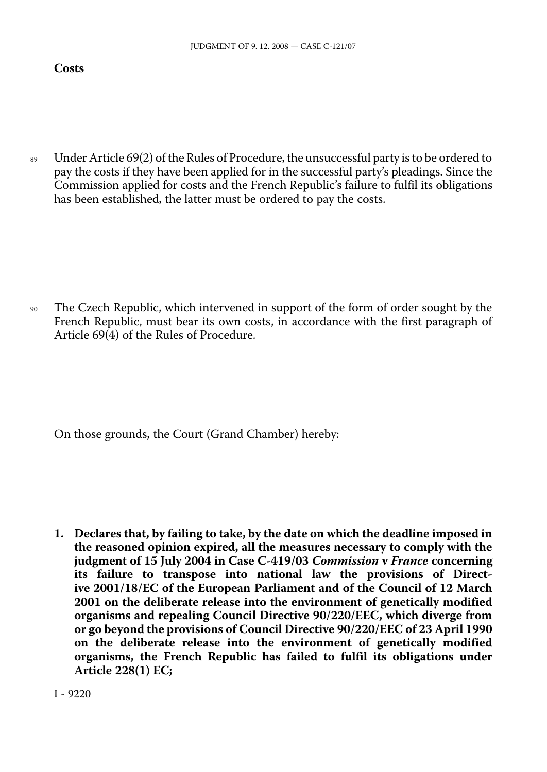#### **Costs**

<sup>89</sup> Under Article 69(2) of the Rules of Procedure, the unsuccessful party is to be ordered to pay the costs if they have been applied for in the successful party's pleadings. Since the Commission applied for costs and the French Republic's failure to fulfil its obligations has been established, the latter must be ordered to pay the costs.

<sup>90</sup> The Czech Republic, which intervened in support of the form of order sought by the French Republic, must bear its own costs, in accordance with the first paragraph of Article 69(4) of the Rules of Procedure.

On those grounds, the Court (Grand Chamber) hereby:

**1. Declares that, by failing to take, by the date on which the deadline imposed in the reasoned opinion expired, all the measures necessary to comply with the judgment of 15 July 2004 in Case C-419/03** *Commission* **v** *France* **concerning its failure to transpose into national law the provisions of Directive 2001/18/EC of the European Parliament and of the Council of 12 March 2001 on the deliberate release into the environment of genetically modified organisms and repealing Council Directive 90/220/EEC, which diverge from or go beyond the provisions of Council Directive 90/220/EEC of 23 April 1990 on the deliberate release into the environment of genetically modified organisms, the French Republic has failed to fulfil its obligations under Article 228(1) EC;**